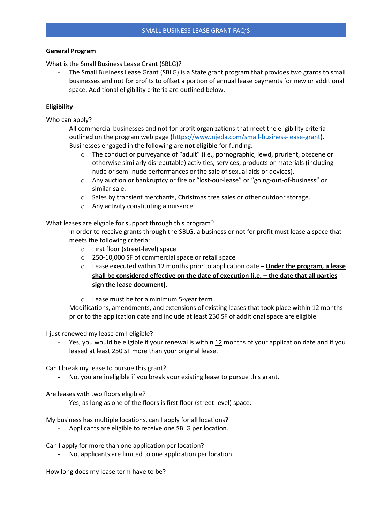### **General Program**

What is the Small Business Lease Grant (SBLG)?

- The Small Business Lease Grant (SBLG) is a State grant program that provides two grants to small businesses and not for profits to offset a portion of annual lease payments for new or additional space. Additional eligibility criteria are outlined below.

## **Eligibility**

Who can apply?

- All commercial businesses and not for profit organizations that meet the eligibility criteria outlined on the program web page [\(https://www.njeda.com/small-business-lease-grant\)](https://www.njeda.com/small-business-lease-grant).
- Businesses engaged in the following are **not eligible** for funding:
	- $\circ$  The conduct or purveyance of "adult" (i.e., pornographic, lewd, prurient, obscene or otherwise similarly disreputable) activities, services, products or materials (including nude or semi-nude performances or the sale of sexual aids or devices).
	- o Any auction or bankruptcy or fire or "lost-our-lease" or "going-out-of-business" or similar sale.
	- $\circ$  Sales by transient merchants, Christmas tree sales or other outdoor storage.
	- o Any activity constituting a nuisance.

What leases are eligible for support through this program?

- In order to receive grants through the SBLG, a business or not for profit must lease a space that meets the following criteria:
	- o First floor (street-level) space
	- o 250-10,000 SF of commercial space or retail space
	- o Lease executed within 12 months prior to application date **Under the program, a lease shall be considered effective on the date of execution (i.e. – the date that all parties sign the lease document).**
	- o Lease must be for a minimum 5-year term
- Modifications, amendments, and extensions of existing leases that took place within 12 months prior to the application date and include at least 250 SF of additional space are eligible

I just renewed my lease am I eligible?

Yes, you would be eligible if your renewal is within 12 months of your application date and if you leased at least 250 SF more than your original lease.

Can I break my lease to pursue this grant?

No, you are ineligible if you break your existing lease to pursue this grant.

Are leases with two floors eligible?

- Yes, as long as one of the floors is first floor (street-level) space.

My business has multiple locations, can I apply for all locations?

Applicants are eligible to receive one SBLG per location.

Can I apply for more than one application per location?

No, applicants are limited to one application per location.

How long does my lease term have to be?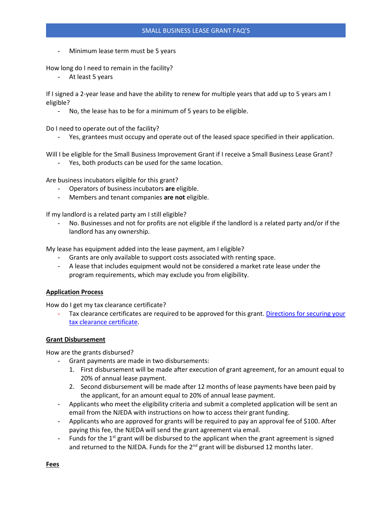Minimum lease term must be 5 years

How long do I need to remain in the facility?

- At least 5 years

If I signed a 2-year lease and have the ability to renew for multiple years that add up to 5 years am I eligible?

No, the lease has to be for a minimum of 5 years to be eligible.

Do I need to operate out of the facility?

- Yes, grantees must occupy and operate out of the leased space specified in their application.

Will I be eligible for the Small Business Improvement Grant if I receive a Small Business Lease Grant?

- Yes, both products can be used for the same location.

Are business incubators eligible for this grant?

- Operators of business incubators **are** eligible.
- Members and tenant companies **are not** eligible.

If my landlord is a related party am I still eligible?

No. Businesses and not for profits are not eligible if the landlord is a related party and/or if the landlord has any ownership.

My lease has equipment added into the lease payment, am I eligible?

- Grants are only available to support costs associated with renting space.
- A lease that includes equipment would not be considered a market rate lease under the program requirements, which may exclude you from eligibility.

### **Application Process**

How do I get my tax clearance certificate?

Tax clearance certificates are required to be approved for this grant. Directions for securing your [tax clearance certificate.](https://www.njeda.com/wp-content/uploads/2021/08/Securing-Your-Tax-Clearance-Certificate-Directions-Client.pdf)

### **Grant Disbursement**

How are the grants disbursed?

- Grant payments are made in two disbursements:
	- 1. First disbursement will be made after execution of grant agreement, for an amount equal to 20% of annual lease payment.
	- 2. Second disbursement will be made after 12 months of lease payments have been paid by the applicant, for an amount equal to 20% of annual lease payment.
- Applicants who meet the eligibility criteria and submit a completed application will be sent an email from the NJEDA with instructions on how to access their grant funding.
- Applicants who are approved for grants will be required to pay an approval fee of \$100. After paying this fee, the NJEDA will send the grant agreement via email.
- Funds for the  $1<sup>st</sup>$  grant will be disbursed to the applicant when the grant agreement is signed and returned to the NJEDA. Funds for the  $2^{nd}$  grant will be disbursed 12 months later.

**Fees**